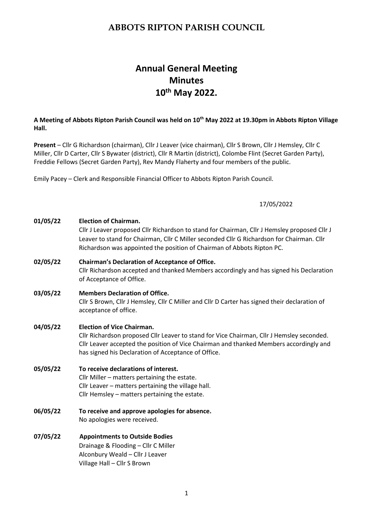# **Annual General Meeting Minutes 10th May 2022.**

### **A Meeting of Abbots Ripton Parish Council was held on 10th May 2022 at 19.30pm in Abbots Ripton Village Hall.**

**Present** – Cllr G Richardson (chairman), Cllr J Leaver (vice chairman), Cllr S Brown, Cllr J Hemsley, Cllr C Miller, Cllr D Carter, Cllr S Bywater (district), Cllr R Martin (district), Colombe Flint (Secret Garden Party), Freddie Fellows (Secret Garden Party), Rev Mandy Flaherty and four members of the public.

Emily Pacey – Clerk and Responsible Financial Officer to Abbots Ripton Parish Council.

#### 17/05/2022

| 01/05/22 | <b>Election of Chairman.</b><br>Cllr J Leaver proposed Cllr Richardson to stand for Chairman, Cllr J Hemsley proposed Cllr J<br>Leaver to stand for Chairman, Cllr C Miller seconded Cllr G Richardson for Chairman. Cllr<br>Richardson was appointed the position of Chairman of Abbots Ripton PC. |  |
|----------|-----------------------------------------------------------------------------------------------------------------------------------------------------------------------------------------------------------------------------------------------------------------------------------------------------|--|
| 02/05/22 | <b>Chairman's Declaration of Acceptance of Office.</b><br>Cllr Richardson accepted and thanked Members accordingly and has signed his Declaration<br>of Acceptance of Office.                                                                                                                       |  |
| 03/05/22 | <b>Members Declaration of Office.</b><br>Cllr S Brown, Cllr J Hemsley, Cllr C Miller and Cllr D Carter has signed their declaration of<br>acceptance of office.                                                                                                                                     |  |
| 04/05/22 | <b>Election of Vice Chairman.</b><br>Cllr Richardson proposed Cllr Leaver to stand for Vice Chairman, Cllr J Hemsley seconded.<br>Cllr Leaver accepted the position of Vice Chairman and thanked Members accordingly and<br>has signed his Declaration of Acceptance of Office.                     |  |
| 05/05/22 | To receive declarations of interest.<br>Cllr Miller - matters pertaining the estate.<br>Cllr Leaver - matters pertaining the village hall.<br>Cllr Hemsley - matters pertaining the estate.                                                                                                         |  |
| 06/05/22 | To receive and approve apologies for absence.<br>No apologies were received.                                                                                                                                                                                                                        |  |
| 07/05/22 | Annointmante to Outeida Rodiae                                                                                                                                                                                                                                                                      |  |

**07/05/22 Appointments to Outside Bodies** Drainage & Flooding – Cllr C Miller Alconbury Weald – Cllr J Leaver Village Hall – Cllr S Brown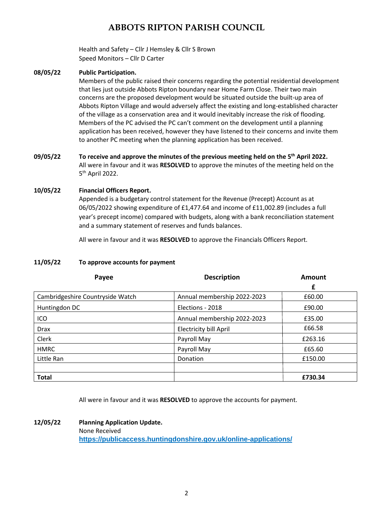Health and Safety – Cllr J Hemsley & Cllr S Brown Speed Monitors – Cllr D Carter

### **08/05/22 Public Participation.**

Members of the public raised their concerns regarding the potential residential development that lies just outside Abbots Ripton boundary near Home Farm Close. Their two main concerns are the proposed development would be situated outside the built-up area of Abbots Ripton Village and would adversely affect the existing and long-established character of the village as a conservation area and it would inevitably increase the risk of flooding. Members of the PC advised the PC can't comment on the development until a planning application has been received, however they have listened to their concerns and invite them to another PC meeting when the planning application has been received.

**09/05/22 To receive and approve the minutes of the previous meeting held on the 5 th April 2022.** All were in favour and it was **RESOLVED** to approve the minutes of the meeting held on the 5 th April 2022.

### **10/05/22 Financial Officers Report.**

Appended is a budgetary control statement for the Revenue (Precept) Account as at 06/05/2022 showing expenditure of £1,477.64 and income of £11,002.89 (includes a full year's precept income) compared with budgets, along with a bank reconciliation statement and a summary statement of reserves and funds balances.

All were in favour and it was **RESOLVED** to approve the Financials Officers Report.

#### **11/05/22 To approve accounts for payment**

| Payee                            | <b>Description</b>            | <b>Amount</b> |
|----------------------------------|-------------------------------|---------------|
|                                  |                               | £             |
| Cambridgeshire Countryside Watch | Annual membership 2022-2023   | £60.00        |
| Huntingdon DC                    | Elections - 2018              | £90.00        |
| ICO                              | Annual membership 2022-2023   | £35.00        |
| <b>Drax</b>                      | <b>Electricity bill April</b> | £66.58        |
| Clerk                            | Payroll May                   | £263.16       |
| <b>HMRC</b>                      | Payroll May                   | £65.60        |
| Little Ran                       | Donation                      | £150.00       |
|                                  |                               |               |
| <b>Total</b>                     |                               | £730.34       |

All were in favour and it was **RESOLVED** to approve the accounts for payment.

**12/05/22 Planning Application Update.** None Received **<https://publicaccess.huntingdonshire.gov.uk/online-applications/>**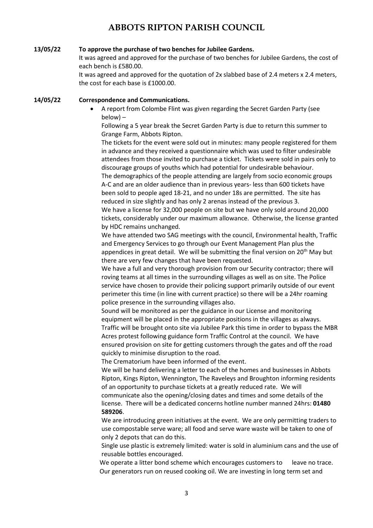#### **13/05/22 To approve the purchase of two benches for Jubilee Gardens.**

It was agreed and approved for the purchase of two benches for Jubilee Gardens, the cost of each bench is £580.00.

It was agreed and approved for the quotation of 2x slabbed base of 2.4 meters x 2.4 meters, the cost for each base is £1000.00.

**14/05/22 Correspondence and Communications.**

• A report from Colombe Flint was given regarding the Secret Garden Party (see below) –

Following a 5 year break the Secret Garden Party is due to return this summer to Grange Farm, Abbots Ripton.

The tickets for the event were sold out in minutes: many people registered for them in advance and they received a questionnaire which was used to filter undesirable attendees from those invited to purchase a ticket. Tickets were sold in pairs only to discourage groups of youths which had potential for undesirable behaviour. The demographics of the people attending are largely from socio economic groups A-C and are an older audience than in previous years- less than 600 tickets have been sold to people aged 18-21, and no under 18s are permitted. The site has reduced in size slightly and has only 2 arenas instead of the previous 3. We have a license for 32,000 people on site but we have only sold around 20,000 tickets, considerably under our maximum allowance. Otherwise, the license granted by HDC remains unchanged.

We have attended two SAG meetings with the council, Environmental health, Traffic and Emergency Services to go through our Event Management Plan plus the appendices in great detail. We will be submitting the final version on  $20<sup>th</sup>$  May but there are very few changes that have been requested.

We have a full and very thorough provision from our Security contractor; there will roving teams at all times in the surrounding villages as well as on site. The Police service have chosen to provide their policing support primarily outside of our event perimeter this time (in line with current practice) so there will be a 24hr roaming police presence in the surrounding villages also.

Sound will be monitored as per the guidance in our License and monitoring equipment will be placed in the appropriate positions in the villages as always. Traffic will be brought onto site via Jubilee Park this time in order to bypass the MBR Acres protest following guidance form Traffic Control at the council. We have ensured provision on site for getting customers through the gates and off the road quickly to minimise disruption to the road.

The Crematorium have been informed of the event.

We will be hand delivering a letter to each of the homes and businesses in Abbots Ripton, Kings Ripton, Wennington, The Raveleys and Broughton informing residents of an opportunity to purchase tickets at a greatly reduced rate. We will communicate also the opening/closing dates and times and some details of the license. There will be a dedicated concerns hotline number manned 24hrs: **01480 589206**.

We are introducing green initiatives at the event. We are only permitting traders to use compostable serve ware; all food and serve ware waste will be taken to one of only 2 depots that can do this.

Single use plastic is extremely limited: water is sold in aluminium cans and the use of reusable bottles encouraged.

We operate a litter bond scheme which encourages customers to leave no trace. Our generators run on reused cooking oil. We are investing in long term set and